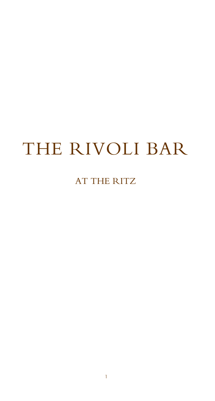# THE RIVOLI BAR

### AT THE RITZ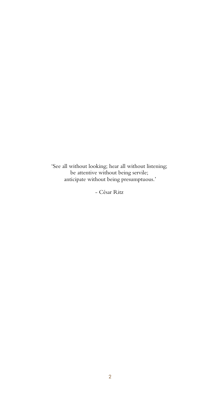'See all without looking; hear all without listening; be attentive without being servile; anticipate without being presumptuous.'

- César Ritz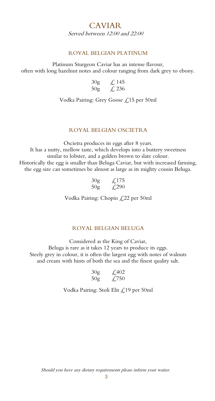#### CAVIAR Served between 12:00 and 22:00

#### ROYAL BELGIAN PLATINUM

Platinum Sturgeon Caviar has an intense flavour, often with long hazelnut notes and colour ranging from dark grey to ebony.

| 30 <sub>g</sub> | $\measuredangle$ 145 |
|-----------------|----------------------|
| 50 <sub>g</sub> | $\sqrt{236}$         |

Vodka Pairing: Grey Goose £15 per 50ml

#### ROYAL BELGIAN OSCIETRA

Oscietra produces its eggs after 8 years. It has a nutty, mellow taste, which develops into a buttery sweetness similar to lobster, and a golden brown to slate colour. Historically the egg is smaller than Beluga Caviar, but with increased farming, the egg size can sometimes be almost as large as its mighty cousin Beluga.

| 30g            | $\textsterling$ 175              |
|----------------|----------------------------------|
| $50\mathrm{g}$ | $\textcolor{red}{\downarrow}290$ |

Vodka Pairing: Chopin £22 per 50ml

#### ROYAL BELGIAN BELUGA

Considered as the King of Caviar,

Beluga is rare as it takes 12 years to produce its eggs. Steely grey in colour, it is often the largest egg with notes of walnuts and cream with hints of both the sea and the finest quality salt.

| 30 <sub>g</sub> | $\textcolor{blue}{\cancel{2}}402$ |
|-----------------|-----------------------------------|
| 50 <sub>g</sub> | $\textcolor{blue}{\cancel{1,0}}$  |

Vodka Pairing: Stoli Elit £19 per 50ml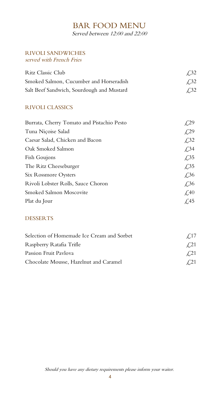## BAR FOOD MENU

Served between 12:00 and 22:00

#### RIVOLI SANDWICHES served with French Fries

| Ritz Classic Club                         | $\angle$ 32 |
|-------------------------------------------|-------------|
| Smoked Salmon, Cucumber and Horseradish   | <b>£32</b>  |
| Salt Beef Sandwich, Sourdough and Mustard | <b>£32</b>  |

#### RIVOLI CLASSICS

| Burrata, Cherry Tomato and Pistachio Pesto | £,29                              |
|--------------------------------------------|-----------------------------------|
| Tuna Niçoise Salad                         | £29                               |
| Caesar Salad, Chicken and Bacon            | $\angle$ ,32                      |
| Oak Smoked Salmon                          | $\textcolor{red}{\cancel{1,34}}$  |
| Fish Goujons                               | $\sqrt{.}35$                      |
| The Ritz Cheeseburger                      | $\sqrt{.}35$                      |
| Six Rossmore Oysters                       | $\angle$ ,36                      |
| Rivoli Lobster Rolls, Sauce Choron         | $\textcolor{blue}{\cancel{f,36}}$ |
| Smoked Salmon Moscovite                    | $\angle 40$                       |
| Plat du Jour                               | $\angle$ .45                      |

#### DESSERTS

| Selection of Homemade Ice Cream and Sorbet | $\angle 17$ |
|--------------------------------------------|-------------|
| Raspberry Ratafia Trifle                   | $\angle 21$ |
| Passion Fruit Pavlova                      | $\angle 21$ |
| Chocolate Mousse, Hazelnut and Caramel     | ¥ 21        |

Should you have any dietary requirements please inform your waiter.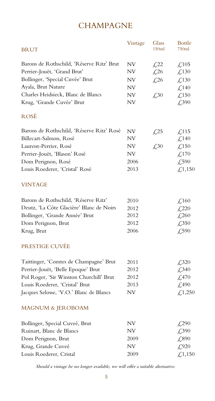### **CHAMPAGNE**

| <b>BRUT</b>                               | Vintage   | Glass<br>150ml                    | <b>Bottle</b><br>750ml                       |
|-------------------------------------------|-----------|-----------------------------------|----------------------------------------------|
| Barons de Rothschild, 'Réserve Ritz' Brut | <b>NV</b> | $\&22$                            | $\textcolor{red}{\lesssim} 105$              |
| Perrier-Jouët, 'Grand Brut'               | NV        | $\textcolor{red}{\downarrow}26$   | $\textcolor{red}{\lesssim} 130$              |
| Bollinger, 'Special Cuvée' Brut           | NV        | $\textcolor{blue}{\cancel{1,26}}$ | $\textcolor{red}{\downarrow}$ 130            |
| Ayala, Brut Nature                        | <b>NV</b> |                                   | £140                                         |
| Charles Heidsieck, Blanc de Blancs        | <b>NV</b> | $\textcolor{red}{\mathcal{L}}30$  | £150                                         |
| Krug, 'Grande Cuvée' Brut                 | <b>NV</b> |                                   | £390                                         |
| ROSÉ                                      |           |                                   |                                              |
| Barons de Rothschild, 'Réserve Ritz' Rosé | <b>NV</b> | $\sqrt{25}$                       | $\textsterling$ 115                          |
| Billecart-Salmon, Rosé                    | NV        |                                   | $\textcolor{red}{\lesssim} 140$              |
| Laurent-Perrier, Rosé                     | <b>NV</b> | £30                               | $\textcolor{red}{\mathcal{L}}$ 150           |
| Perrier-Jouët, 'Blason' Rosé              | NV        |                                   | £170                                         |
| Dom Perignon, Rosé                        | 2006      |                                   | $\textcolor{blue}{\cancel{.590}}$            |
| Louis Roederer, 'Cristal' Rosé            | 2013      |                                   | £1,150                                       |
| <b>VINTAGE</b>                            |           |                                   |                                              |
| Barons de Rothschild, 'Réserve Ritz'      | 2010      |                                   | $\text{\textsterling}160$                    |
| Deutz, 'La Côte Glacière' Blanc de Noirs  | 2012      |                                   | $\textcolor{red}{\pounds}220$                |
| Bollinger, 'Grande Année' Brut            | 2012      |                                   | $\textcolor{red}{\textbf{\textsterling}}260$ |
| Dom Perignon, Brut                        | 2012      |                                   | $\textcolor{blue}{\cancel{2,350}}$           |
| Krug, Brut                                | 2006      |                                   | £590                                         |
| PRESTIGE CUVÉE                            |           |                                   |                                              |
| Taittinger, 'Comtes de Champagne' Brut    | 2011      |                                   | $\textcolor{red}{\cancel{2}}320$             |
| Perrier-Jouët, 'Belle Epoque' Brut        | 2012      |                                   | $\textcolor{blue}{\cancel{2,340}}$           |
| Pol Roger, 'Sir Winston Churchill' Brut   | 2012      |                                   | $\textsterling}470$                          |
| Louis Roederer, 'Cristal' Brut            | 2013      |                                   | $\textsterling}490$                          |
| Jacques Selosse, 'V.O.' Blanc de Blancs   | NV        |                                   | £,1,250                                      |
| MAGNUM & JEROBOAM                         |           |                                   |                                              |
| Bollinger, Special Cuveé, Brut            | NV        |                                   | £290                                         |
| Ruinart, Blanc de Blancs                  | NV        |                                   | £,390                                        |
| Dom Perignon, Brut                        | 2009      |                                   | £890                                         |
| Krug, Grande Cuveé                        | NV        |                                   | £920                                         |
| Louis Roederer, Cristal                   | 2009      |                                   | £1,150                                       |
|                                           |           |                                   |                                              |

Should <sup>a</sup> vintage be no longer available, we will offer <sup>a</sup> suitable alternative.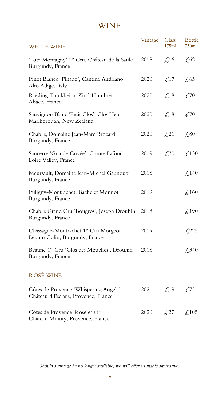### WINE

|                                                                                    | Vintage | Glass                              | <b>Bottle</b>                      |
|------------------------------------------------------------------------------------|---------|------------------------------------|------------------------------------|
| <b>WHITE WINE</b>                                                                  |         | 175ml                              | 750ml                              |
| 'Ritz Montagny' 1 <sup>er</sup> Cru, Château de la Saule<br>Burgundy, France       | 2018    | $\textcolor{blue}{\cancel{1}}\,16$ | $\textsterling,62$                 |
| Pinot Bianco 'Finado', Cantina Andriano<br>Alto Adige, Italy                       | 2020    | $\measuredangle$ ,17               | $\sqrt{65}$                        |
| Riesling Turckheim, Zind-Humbrecht<br>Alsace, France                               | 2020    | $\angle$ ,18                       | £70                                |
| Sauvignon Blanc 'Petit Clos', Clos Henri<br>Marlborough, New Zealand               | 2020    | $\text{\textsterling}18$           | £70                                |
| Chablis, Domaine Jean-Marc Brocard<br>Burgundy, France                             | 2020    | $\&21$                             | £80                                |
| Sancerre 'Grande Cuvée', Comte Lafond<br>Loire Valley, France                      | 2019    | $\textcolor{blue}{\cancel{.}}30$   | $\text{\textsterling}.130$         |
| Meursault, Domaine Jean-Michel Gaunoux<br>Burgundy, France                         | 2018    |                                    | £140                               |
| Puligny-Montrachet, Bachelet Monnot<br>Burgundy, France                            | 2019    |                                    | $\text{\textsterling}160$          |
| Chablis Grand Cru 'Bougros', Joseph Drouhin<br>Burgundy, France                    | 2018    |                                    | $\text{\textsterling}190$          |
| Chassagne-Montrachet 1 <sup>er</sup> Cru Morgeot<br>Lequin Colin, Burgundy, France | 2019    |                                    | $\sqrt{225}$                       |
| Beaune 1er Cru 'Clos des Mouches', Drouhin<br>Burgundy, France                     | 2018    |                                    | $\textcolor{blue}{\cancel{2,340}}$ |
| <b>ROSÉ WINE</b>                                                                   |         |                                    |                                    |
| Côtes de Provence 'Whispering Angels'<br>Château d'Esclans, Provence, France       | 2021    | $\pounds$ 19                       | $\measuredangle$ ,75               |
| Côtes de Provence 'Rose et Or'<br>Château Minuty, Provence, France                 | 2020    | $\sqrt{27}$                        | $\textcolor{red}{\downarrow}$ 105  |

Should a vintage be no longer available, we will offer a suitable alternative.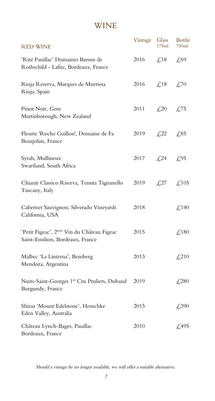### WINE

| <b>RED WINE</b>                                                                           | Vintage                      | Glass<br>175ml                    | <b>Bottle</b><br>750ml             |
|-------------------------------------------------------------------------------------------|------------------------------|-----------------------------------|------------------------------------|
| 'Ritz Pauillac' Domaines Barons de<br>Rothschild - Lafite, Bordeaux, France               | 2016                         | $\measuredangle$ ,18              | £69                                |
| Rioja Reserva, Marques de Murrieta<br>Rioja, Spain                                        | 2016 $\angle$ 5.18           |                                   | $\textcolor{blue}{\cancel{1,0}}$   |
| Pinot Noir, Gem<br>Martinborough, New Zealand                                             | 2011 $\angle 20 = \angle 75$ |                                   |                                    |
| Fleurie 'Roche Guillon', Domaine de Fa<br>Beaujolais, France                              | 2019                         | $\sqrt{22}$                       | £85                                |
| Syrah, Mullineux<br>Swartland, South Africa                                               | 2017                         | $\textcolor{blue}{\cancel{1,24}}$ | £95                                |
| Chianti Classico Riserva, Tenuta Tignanello<br>Tuscany, Italy                             | 2019                         | $\sqrt{27}$                       | $\text{\textsterling}.105$         |
| Cabernet Sauvignon, Silverado Vineyards<br>California, USA                                | 2018                         |                                   | $\text{\textsterling}140$          |
| 'Petit Figeac', 2 <sup>eme</sup> Vin du Château Figeac<br>Saint-Emilion, Bordeaux, France | 2015                         |                                   | $\text{\textsterling}180$          |
| Malbec 'La Linterna', Bemberg<br>Mendoza, Argentina                                       | 2013                         |                                   | $\textcolor{red}{\downarrow}$ ,210 |
| Nuits-Saint-Georges 1er Cru Pruliers, Duband<br>Burgundy, France                          | 2019                         |                                   | $\angle 280$                       |
| Shiraz 'Mount Edelstone', Henschke<br>Eden Valley, Australia                              | 2015                         |                                   | $\textcolor{blue}{\cancel{2,390}}$ |
| Château Lynch-Bages, Pauillac<br>Bordeaux, France                                         | 2010                         |                                   | $\textsterling$ ,495               |

Should a vintage be no longer available, we will offer a suitable alternative.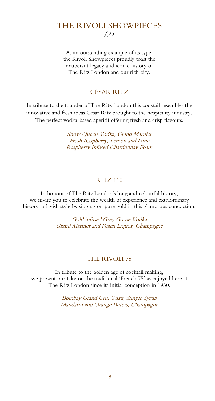### THE RIVOLI SHOWPIECES £25

As an outstanding example of its type, the Rivoli Showpieces proudly toast the exuberant legacy and iconic history of The Ritz London and our rich city.

#### CÉSAR RITZ

In tribute to the founder of The Ritz London this cocktail resembles the innovative and fresh ideas Cesar Ritz brought to the hospitality industry. The perfect vodka-based aperitif offering fresh and crisp flavours.

> Snow Queen Vodka, Grand Marnier Fresh Raspberry, Lemon and Lime Raspberry Infused Chardonnay Foam

#### RITZ 110

In honour of The Ritz London's long and colourful history, we invite you to celebrate the wealth of experience and extraordinary history in lavish style by sipping on pure gold in this glamorous concoction.

> Gold infused Grey Goose Vodka Grand Marnier and Peach Liquor, Champagne

#### THE RIVOLI 75

In tribute to the golden age of cocktail making, we present our take on the traditional 'French 75' as enjoyed here at The Ritz London since its initial conception in 1930.

> Bombay Grand Cru, Yuzu, Simple Syrup Mandarin and Orange Bitters, Champagne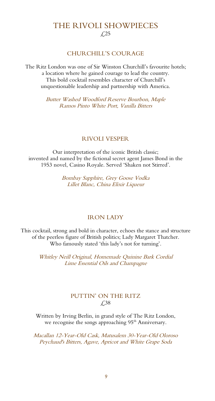### THE RIVOLI SHOWPIECES £25

#### CHURCHILL'S COURAGE

The Ritz London was one of Sir Winston Churchill's favourite hotels; a location where he gained courage to lead the country. This bold cocktail resembles character of Churchill's unquestionable leadership and partnership with America.

> Butter Washed Woodford Reserve Bourbon, Maple Ramos Pinto White Port, Vanilla Bitters

#### RIVOLI VESPER

Our interpretation of the iconic British classic; invented and named by the fictional secret agent James Bond in the 1953 novel, Casino Royale. Served 'Shaken not Stirred'.

> Bombay Sapphire, Grey Goose Vodka Lillet Blanc, China Elixir Liqueur

#### IRON LADY

This cocktail, strong and bold in character, echoes the stance and structure of the peerless figure of British politics; Lady Margaret Thatcher. Who famously stated 'this lady's not for turning'.

> Whitley Neill Original, Homemade Quinine Bark Cordial Lime Essential Oils and Champagne

#### PUTTIN' ON THE RITZ £38

Written by Irving Berlin, in grand style of The Ritz London, we recognise the songs approaching 95<sup>th</sup> Anniversary.

Macallan 12-Year-Old Cask, Matusalem 30-Year-Old Oloroso Peychaud's Bitters, Agave, Apricot and White Grape Soda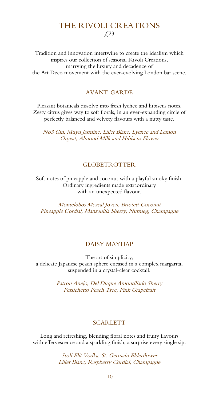#### THE RIVOLI CREATIONS £23

Tradition and innovation intertwine to create the idealism which inspires our collection of seasonal Rivoli Creations, marrying the luxury and decadence of the Art Deco movement with the ever-evolving London bar scene.

#### AVANT-GARDE

Pleasant botanicals dissolve into fresh lychee and hibiscus notes. Zesty citrus gives way to soft florals, in an ever-expanding circle of perfectly balanced and velvety flavours with a nutty taste.

No3 Gin, Muyu Jasmine, Lillet Blanc, Lychee and Lemon Orgeat, Almond Milk and Hibiscus Flower

#### GLOBETROTTER

Soft notes of pineapple and coconut with a playful smoky finish. Ordinary ingredients made extraordinary with an unexpected flavour.

Montelobos Mezcal Joven, Briotett Coconut Pineapple Cordial, Manzanilla Sherry, Nutmeg, Champagne

#### DAISY MAYHAP

The art of simplicity, a delicate Japanese peach sphere encased in a complex margarita, suspended in a crystal-clear cocktail.

> Patron Anejo, Del Duque Amontillado Sherry Persichetto Peach Tree, Pink Grapefruit

#### SCARLETT

Long and refreshing, blending floral notes and fruity flavours with effervescence and a sparkling finish; a surprise every single sip.

> Stoli Elit Vodka, St. Germain Elderflower Lillet Blanc, Raspberry Cordial, Champagne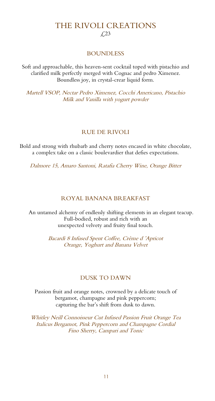### THE RIVOLI CREATIONS £23

#### BOUNDLESS

Soft and approachable, this heaven-sent cocktail toped with pistachio and clarified milk perfectly merged with Cognac and pedro Ximenez. Boundless joy, in crystal-crear liquid form.

Martell VSOP, Nectar Pedro Ximenez, Cocchi Americano, Pistachio Milk and Vanilla with yogurt powder

#### RUE DE RIVOLI

Bold and strong with rhubarb and cherry notes encased in white chocolate, a complex take on a classic boulevardier that defies expectations.

Dalmore 15, Amaro Santoni, Ratafia Cherry Wine, Orange Bitter

#### ROYAL BANANA BREAKFAST

An untamed alchemy of endlessly shifting elements in an elegant teacup. Full-bodied, robust and rich with an unexpected velvety and fruity final touch.

> Bacardi 8 Infused Spent Coffee, Crème d 'Apricot Orange, Yoghurt and Banana Velvet

#### DUSK TO DAWN

Passion fruit and orange notes, crowned by a delicate touch of bergamot, champagne and pink peppercorn; capturing the bar's shift from dusk to dawn.

Whitley Neill Connoisseur Cut Infused Passion Fruit Orange Tea Italicus Bergamot, Pink Peppercorn and Champagne Cordial Fino Sherry, Campari and Tonic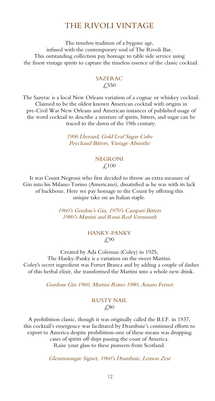### THE RIVOLI VINTAGE

The timeless tradition of a bygone age, infused with the contemporary soul of The Rivoli Bar. This outstanding collection pay homage to table side service using the finest vintage spirits to capture the timeless essence of the classic cocktail.

#### SAZERAC £550

The Sazerac is a local New Orleans variation of a cognac or whiskey cocktail. Claimed to be the oldest known American cocktail with origins in pre-Civil War New Orleans and American instances of published usage of the word cocktail to describe a mixture of spirits, bitters, and sugar can be traced to the dawn of the 19th century.

> 1906 Lheraud, Gold Leaf Sugar Cube Peychaud Bitters, Vintage Absinthe

#### NEGRONI  $\angle 100$

It was Count Negroni who first decided to throw an extra measure of Gin into his Milano-Torino (Americano), dissatisfied as he was with its lack of backbone. Here we pay homage to the Count by offering this unique take on an Italian staple.

> 1960's Gordon's Gin, 1970's Campari Bitters 1980's Martini and Rossi Red Vermouth

#### HANKY-PANKY £90

Created by Ada Coleman (Coley) in 1925, The Hanky-Panky is a variation on the sweet Martini. Coley's secret ingredient was Fernet Branca and by adding a couple of dashes of this herbal elixir, she transformed the Martini into a whole new drink.

Gordons Gin 1960, Martini Rosso 1980, Amaro Fernet

#### RUSTY NAIL £80

A prohibition classic, though it was originally called the B.I.F. in 1937, this cocktail's emergence was facilitated by Drambuie's continued efforts to export to America despite prohibition-one of these means was dropping cases of spirits off ships passing the coast of America.

Raise your glass to these pioneers from Scotland.

Glenmorangie Signet, 1960's Drambuie, Lemon Zest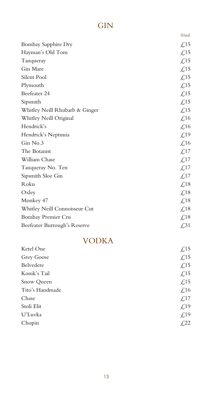### GIN

|                                | 50ml                              |
|--------------------------------|-----------------------------------|
| Bombay Sapphire Dry            | $\text{\textsterling}15$          |
| Hayman's Old Tom               | $\textsterling$ 15                |
| Tanqueray                      | $\text{\textsterling}15$          |
| Gin Mare                       | $\textcolor{red}{\mathcal{L}}$ 15 |
| Silent Pool                    | $\textsterling$ 15                |
| Plymouth                       | $\textsterling$ 15                |
| Beefeater 24                   | $\textsterling$ 15                |
| Sipsmith                       | $\text{\textsterling}15$          |
| Whitley Neill Rhubarb & Ginger | $\textcolor{red}{\mathcal{L}}$ 15 |
| Whitley Neill Original         | $\text{\textsterling}16$          |
| Hendrick's                     | £16                               |
| Hendrick's Neptunia            | $\mathcal{L}$ 19                  |
| Gin No.3                       | $\text{\textsterling}16$          |
| The Botanist                   | $\textsterling$ 17                |
| William Chase                  | $\text{\textsterling}17$          |
| Tanqueray No. Ten              | $\textcolor{red}{\mathcal{L}}$ 17 |
| Sipsmith Sloe Gin              | $\textcolor{red}{\mathcal{L}}$ 17 |
| Roku                           | $\textcolor{red}{\lesssim} 18$    |
| Oxley                          | $\textsterling}18$                |
| Monkey 47                      | $\textcolor{red}{\pounds}18$      |
| Whitley Neill Connoisseur Cut  | $\textcolor{red}{\pounds}18$      |
| Bombay Premier Cru             | $\text{\textsterling}18$          |
| Beefeater Burrough's Reserve   | $\cancel{\pounds}31$              |

### VODKA

| Ketel One       | $\text{\textsterling}15$       |
|-----------------|--------------------------------|
| Grey Goose      | $\textcolor{red}{\lesssim} 15$ |
| Belvedere       | $\text{\textsterling}15$       |
| Konik's Tail    | $\text{\textsterling}15$       |
| Snow Queen      | $\text{\textsterling}15$       |
| Tito's Handmade | $\text{\textsterling}16$       |
| Chase           | $\text{\textsterling}17$       |
| Stoli Elit      | $\text{\textsterling}19$       |
| U'Luvka         | $\text{\textsterling}19$       |
| Chopin          | £,22                           |
|                 |                                |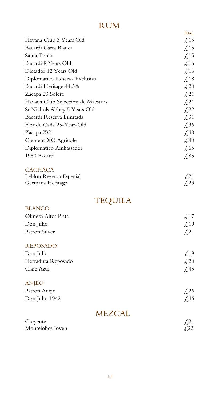### RUM

|                                   | 50 <sub>ml</sub>                  |
|-----------------------------------|-----------------------------------|
| Havana Club 3 Years Old           | $\text{\textsterling}15$          |
| Bacardi Carta Blanca              | $\textsterling$ 15                |
| Santa Teresa                      | $\textsterling$ 15                |
| Bacardi 8 Years Old               | $\text{\textsterling}16$          |
| Dictador 12 Years Old             | $\angle$ ,16                      |
| Diplomatico Reserva Exclusiva     | $\textcolor{red}{\lesssim} 18$    |
| Bacardi Heritage 44.5%            | $\mathcal{L}^{20}$                |
| Zacapa 23 Solera                  | $\mathcal{L}21$                   |
| Havana Club Seleccion de Maestros | $\sqrt{21}$                       |
| St Nichols Abbey 5 Years Old      | $\sqrt{22}$                       |
| Bacardi Reserva Limitada          | $\textcolor{red}{\cancel{1,31}}$  |
| Flor de Caña 25-Year-Old          | $\textcolor{blue}{\cancel{f,36}}$ |
| Zacapa XO                         | $\textcolor{blue}{\mathcal{L}}40$ |
| Clement XO Agricole               | $\textcolor{blue}{\cancel{1,0}}$  |
| Diplomatico Ambassador            | $\textsterling 65$                |
| 1980 Bacardi                      | £,85                              |
| <b>CACHAÇA</b>                    |                                   |
| Leblon Reserva Especial           | $\mathcal{L}^{21}$                |
| Germana Heritage                  | £,23                              |
| TEQUILA                           |                                   |
| <b>BLANCO</b>                     |                                   |
| Olmeca Altos Plata                | $\textsterling$ 17                |
| Don Julio                         | $\mathcal{L}^{19}$                |
| Patron Silver                     | $\textcolor{red}{\downarrow}$ 21  |
| <b>REPOSADO</b>                   |                                   |
| Don Julio                         | $\textsterling.19$                |
| Herradura Reposado                | $\mathcal{L}^{20}$                |
| Clase Azul                        | $\textcolor{blue}{\cancel{2}}45$  |
| <b>ANJEO</b>                      |                                   |
| Patron Anejo                      | $\textcolor{red}{\mathcal{L}}26$  |
| Don Julio 1942                    | $\textsterling}46$                |
| <b>MEZCAL</b>                     |                                   |
| Creyente                          | $\mathcal{L}^{21}$                |
| Montelobos Joven                  | $\sqrt{23}$                       |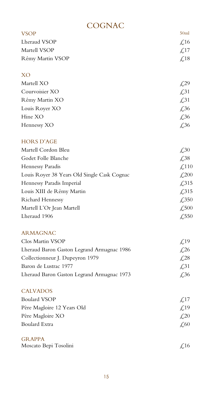### **COGNAC**

| <b>VSOP</b>                                 | 50 <sub>ml</sub>                   |
|---------------------------------------------|------------------------------------|
| Lheraud VSOP                                | $\mathcal{L}$ 16                   |
| Martell VSOP                                | $\textcolor{red}{\mathcal{L}}$ 17  |
| Rémy Martin VSOP                            | $\text{\textsterling}18$           |
| <b>XO</b>                                   |                                    |
| Martell XO                                  | $\mathcal{L}^{29}$                 |
| Courvoisier XO                              | $\textcolor{red}{\downarrow}31$    |
| Rémy Martin XO                              | $\textcolor{red}{\cancel{2}}31$    |
| Louis Royer XO                              | $\textcolor{blue}{\cancel{2}}36$   |
| Hine XO                                     | $\textcolor{red}{\cancel{2}}36$    |
| Hennessy XO                                 | $\textcolor{red}{\cancel{2}}36$    |
| <b>HORS D'AGE</b>                           |                                    |
| Martell Cordon Bleu                         | $\textcolor{blue}{\cancel{.}}30$   |
| Godet Folle Blanche                         | $\textcolor{blue}{\cancel{2,38}}$  |
| Hennessy Paradis                            | $\textcolor{red}{\pounds}110$      |
| Louis Royer 38 Years Old Single Cask Cognac | $\textcolor{red}{\pounds}200$      |
| Hennessy Paradis Imperial                   | $\textsterling}315$                |
| Louis XIII de Rémy Martin                   | $\textsterling}315$                |
| <b>Richard Hennessy</b>                     | $\textcolor{blue}{\cancel{2,350}}$ |
| Martell L'Or Jean Martell                   | £,500                              |
| Lheraud 1906                                | $\textcolor{blue}{\cancel{.550}}$  |
| <b>ARMAGNAC</b>                             |                                    |
| Clos Martin VSOP                            | $\mathcal{L}^{19}$                 |
| Lheraud Baron Gaston Legrand Armagnac 1986  | $\sqrt{26}$                        |
| Collectionneur J. Dupeyron 1979             | $\sqrt{28}$                        |
| Baron de Lustrac 1977                       | $\cancel{6}31$                     |
| Lheraud Baron Gaston Legrand Armagnac 1973  | $\cancel{\pounds}36$               |
| <b>CALVADOS</b>                             |                                    |
| <b>Boulard VSOP</b>                         | $\textcolor{red}{\mathcal{L}}$ 17  |
| Père Magloire 12 Years Old                  | $\mathcal{L}$ 19                   |
| Père Magloire XO                            | $\mathcal{L}^{20}$                 |
| <b>Boulard Extra</b>                        | $\mathcal{L}60$                    |
| <b>GRAPPA</b>                               |                                    |
| Moscato Bepi Tosolini                       | $\textcolor{red}{\mathcal{L}}$ 16  |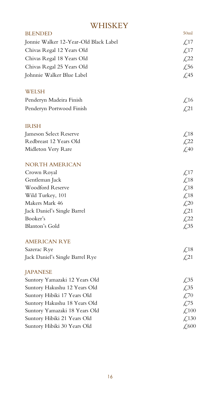### **WHISKEY**

| <b>BLENDED</b>                        | 50 <sub>ml</sub>                                  |
|---------------------------------------|---------------------------------------------------|
| Jonnie Walker 12-Year-Old Black Label | $\text{\textsterling}17$                          |
| Chivas Regal 12 Years Old             | $\textcolor{red}{\mathcal{L}}$ 17                 |
| Chivas Regal 18 Years Old             | $\mathcal{L}^{22}$                                |
| Chivas Regal 25 Years Old             | $\textcolor{blue}{\cancel{.56}}$                  |
| Johnnie Walker Blue Label             | $\textsterling$ .45                               |
| WELSH                                 |                                                   |
| Penderyn Madeira Finish               | $\textcolor{red}{\lesssim} 16$                    |
| Penderyn Portwood Finish              | $\textcolor{red}{\cancel{1}}\textcolor{blue}{21}$ |
| <b>IRISH</b>                          |                                                   |
| Jameson Select Reserve                | $\textcolor{red}{\lesssim} 18$                    |
| Redbreast 12 Years Old                | $\mathcal{L}^{22}$                                |
| Midleton Very Rare                    | $\angle$ ,40                                      |
| <b>NORTH AMERICAN</b>                 |                                                   |
| Crown Royal                           | $\angle 17$                                       |
| Gentleman Jack                        | $\textcolor{red}{\lesssim} 18$                    |
| <b>Woodford Reserve</b>               | $\text{\textsterling}18$                          |
| Wild Turkey, 101                      | $\text{\textsterling}18$                          |
| Makers Mark 46                        | $\measuredangle$ 20                               |
| Jack Daniel's Single Barrel           | $\&21$                                            |
| Booker's                              | $\textcolor{red}{\cancel{L}}22$                   |
| Blanton's Gold                        | £35                                               |
| <b>AMERICAN RYE</b>                   |                                                   |
| Sazerac Rye                           | $\text{\textsterling}18$                          |
| Jack Daniel's Single Barrel Rye       | $\sqrt{21}$                                       |
| <b>JAPANESE</b>                       |                                                   |
| Suntory Yamazaki 12 Years Old         | £35                                               |
| Suntory Hakushu 12 Years Old          | £35                                               |
| Suntory Hibiki 17 Years Old           | £70                                               |
| Suntory Hakushu 18 Years Old          | £75                                               |
| Suntory Yamazaki 18 Years Old         | $\textcolor{red}{\downarrow}300$                  |
| Suntory Hibiki 21 Years Old           | $\textcolor{red}{\downarrow}$ 130                 |
| Suntory Hibiki 30 Years Old           | $\textcolor{red}{\mathcal{L}}$ 600                |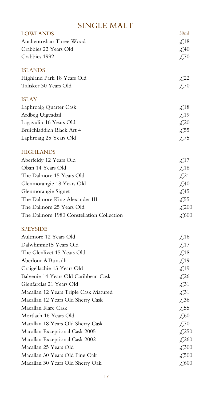### SINGLE MALT

| <b>LOWLANDS</b>                           | 50 <sub>ml</sub>                                    |
|-------------------------------------------|-----------------------------------------------------|
| Auchentoshan Three Wood                   | $\text{\textsterling}18$                            |
| Crabbies 22 Years Old                     | $\textcolor{blue}{\mathcal{L}}40$                   |
| Crabbies 1992                             | $\textcolor{blue}{\mathcal{L}}70$                   |
| <b>ISLANDS</b>                            |                                                     |
| Highland Park 18 Years Old                | $\cancel{1}22$                                      |
| Talisker 30 Years Old                     | £70                                                 |
| <b>ISLAY</b>                              |                                                     |
| Laphroaig Quarter Cask                    | $\textcolor{red}{\lesssim} 18$                      |
| Ardbeg Uigeadail                          | £19                                                 |
| Lagavulin 16 Years Old                    | $\textcolor{blue}{\cancel{.}}20$                    |
| Bruichladdich Black Art 4                 | $\sqrt{.55}$                                        |
| Laphroaig 25 Years Old                    | £,75                                                |
| <b>HIGHLANDS</b>                          |                                                     |
| Aberfeldy 12 Years Old                    | $\textcolor{red}{\mathcal{L}}$ 17                   |
| Oban 14 Years Old                         | $\textcolor{red}{\lesssim} 18$                      |
| The Dalmore 15 Years Old                  | $\angle 21$                                         |
| Glenmorangie 18 Years Old                 | $\textcolor{blue}{\cancel{+}}40$                    |
| Glenmorangie Signet                       | $\angle 45$                                         |
| The Dalmore King Alexander III            | $\sqrt{.55}$                                        |
| The Dalmore 25 Years Old                  | $\textcolor{red}{\pounds}200$                       |
| The Dalmore 1980 Constellation Collection | $\textcolor{red}{\textbf{\textsterling}}600$        |
| <b>SPEYSIDE</b>                           |                                                     |
| Aultmore 12 Years Old                     | $\text{\textsterling}16$                            |
| Dalwhinnie15 Years Old                    | $\text{\textsterling}17$                            |
| The Glenlivet 15 Years Old                | $\textcolor{red}{\mathcal{L}}18$                    |
| Aberlour A'Bunadh                         | $\textsterling.19$                                  |
| Craigellachie 13 Years Old                | $\mathcal{L}^{19}$                                  |
| Balvenie 14 Years Old Caribbean Cask      | £26                                                 |
| Glenfarclas 21 Years Old                  | $\textcolor{red}{\downarrow}31$                     |
| Macallan 12 Years Triple Cask Matured     | $\textcolor{red}{\downarrow}31$                     |
| Macallan 12 Years Old Sherry Cask         | $\textcolor{red}{\cancel{1,36}}$                    |
| Macallan Rare Cask                        | £,55                                                |
| Mortlach 16 Years Old                     | $\textcolor{blue}{\textsterling}60$                 |
| Macallan 18 Years Old Sherry Cask         | $\textcolor{blue}{\cancel{f,70}}$                   |
| Macallan Exceptional Cask 2005            | $\textcolor{red}{\pounds}250$                       |
| Macallan Exceptional Cask 2002            | $\measuredangle$ ,260                               |
| Macallan 25 Years Old                     | $\textcolor{red}{\mathcal{L}}\textcolor{blue}{300}$ |
| Macallan 30 Years Old Fine Oak            | $\measuredangle$ 500                                |
| Macallan 30 Years Old Sherry Oak          | £600                                                |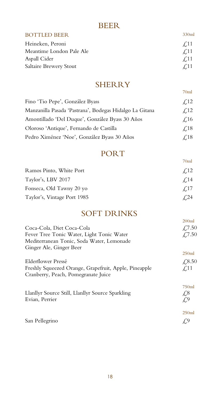### BEER

| <b>BOTTLED BEER</b>           | 330ml       |
|-------------------------------|-------------|
| Heineken, Peroni              | $\angle 11$ |
| Meantime London Pale Ale      | $\angle 11$ |
| Aspall Cider                  | $\angle$ 11 |
| <b>Saltaire Brewery Stout</b> | $\angle 11$ |

### **SHERRY**

70ml

70ml

| Fino 'Tio Pepe', González Byass                         | $\angle 12$ |
|---------------------------------------------------------|-------------|
| Manzanilla Pasada 'Pastrana', Bodegas Hidalgo La Gitana | $\angle 12$ |
| Amontillado 'Del Duque', González Byass 30 Años         | $\angle 16$ |
| Oloroso 'Antique', Fernando de Castilla                 | $\angle 18$ |
| Pedro Ximénez 'Noe', González Byass 30 Años             | $\angle 18$ |
|                                                         |             |

### PORT

| Ramos Pinto, White Port     | $\angle 12$ |
|-----------------------------|-------------|
| Taylor's, LBV 2017          | $\angle 14$ |
| Fonseca, Old Tawny 20 yo    | $\angle 17$ |
| Taylor's, Vintage Port 1985 | 4.24        |

### SOFT DRINKS

|                                                                                              | 200 <sub>ml</sub>           |
|----------------------------------------------------------------------------------------------|-----------------------------|
| Coca-Cola, Diet Coca-Cola                                                                    | £7.50                       |
| Fever Tree Tonic Water, Light Tonic Water                                                    | £,7.50                      |
| Mediterranean Tonic, Soda Water, Lemonade                                                    |                             |
| Ginger Ale, Ginger Beer                                                                      | 250ml                       |
| Elderflower Pressé                                                                           | £,8.50                      |
| Freshly Squeezed Orange, Grapefruit, Apple, Pineapple<br>Cranberry, Peach, Pomegranate Juice | $\angle$ .11                |
|                                                                                              | 750ml                       |
| Llanllyr Source Still, Llanllyr Source Sparkling<br>Evian, Perrier                           | $\sqrt{.8}$                 |
|                                                                                              | $\mathcal{L}^{\mathcal{G}}$ |
|                                                                                              | 250ml                       |
| San Pellegrino                                                                               |                             |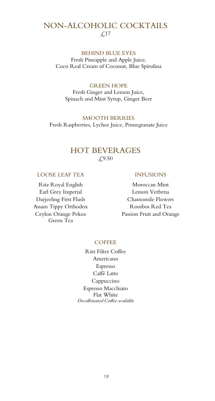### NON-ALCOHOLIC COCKTAILS £17

#### BEHIND BLUE EYES

Fresh Pineapple and Apple Juice, Coco Real Cream of Coconut, Blue Spirulina

#### GREEN HOPE

Fresh Ginger and Lemon Juice, Spinach and Mint Syrup, Ginger Beer

SMOOTH BERRIES Fresh Raspberries, Lychee Juice, Pomegranate Juice

#### HOT BEVERAGES £,9.50

#### LOOSE LEAF TEA INFUSIONS

Ritz Royal English Moroccan Mint Earl Grey Imperial Lemon Verbena Assam Tippy Orthodox Rooibos Red Tea Ceylon Orange Pekoe Green Tea

Darjeeling First Flush Chamomile Flowers Passion Fruit and Orange

#### **COFFEE**

Ritz Filter Coffee Americano Espresso Caffé Latte Cappuccino Espresso Macchiato Flat White Decaffeinated Coffee available